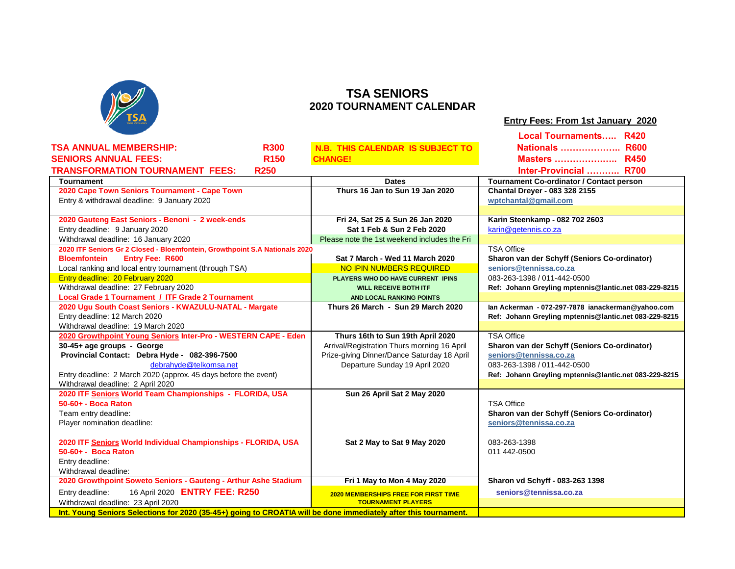

## **TSA SENIORS 2020 TOURNAMENT CALENDAR**

| Entry Fees: From 1st January 2020 |
|-----------------------------------|
|-----------------------------------|

| <b>TSA ANNUAL MEMBERSHIP:</b><br><b>R300</b><br><b>R600</b><br><b>Nationals</b><br>N.B. THIS CALENDAR IS SUBJECT TO<br><b>R150</b><br><b>SENIORS ANNUAL FEES:</b><br><b>R450</b><br><b>Masters </b><br><b>CHANGE!</b><br><b>TRANSFORMATION TOURNAMENT FEES:</b><br><b>R250</b><br>Inter-Provincial  R700<br><b>Tournament Co-ordinator / Contact person</b><br><b>Tournament</b><br><b>Dates</b><br>2020 Cape Town Seniors Tournament - Cape Town<br>Thurs 16 Jan to Sun 19 Jan 2020<br><b>Chantal Dreyer - 083 328 2155</b><br>Entry & withdrawal deadline: 9 January 2020<br>wptchantal@gmail.com<br>2020 Gauteng East Seniors - Benoni - 2 week-ends<br>Fri 24, Sat 25 & Sun 26 Jan 2020<br>Karin Steenkamp - 082 702 2603<br>Entry deadline: 9 January 2020<br>Sat 1 Feb & Sun 2 Feb 2020<br>karin@getennis.co.za<br>Withdrawal deadline: 16 January 2020<br>Please note the 1st weekend includes the Fri<br>2020 ITF Seniors Gr 2 Closed - Bloemfontein, Growthpoint S.A Nationals 2020<br><b>TSA Office</b> |
|-------------------------------------------------------------------------------------------------------------------------------------------------------------------------------------------------------------------------------------------------------------------------------------------------------------------------------------------------------------------------------------------------------------------------------------------------------------------------------------------------------------------------------------------------------------------------------------------------------------------------------------------------------------------------------------------------------------------------------------------------------------------------------------------------------------------------------------------------------------------------------------------------------------------------------------------------------------------------------------------------------------------|
|                                                                                                                                                                                                                                                                                                                                                                                                                                                                                                                                                                                                                                                                                                                                                                                                                                                                                                                                                                                                                   |
|                                                                                                                                                                                                                                                                                                                                                                                                                                                                                                                                                                                                                                                                                                                                                                                                                                                                                                                                                                                                                   |
|                                                                                                                                                                                                                                                                                                                                                                                                                                                                                                                                                                                                                                                                                                                                                                                                                                                                                                                                                                                                                   |
|                                                                                                                                                                                                                                                                                                                                                                                                                                                                                                                                                                                                                                                                                                                                                                                                                                                                                                                                                                                                                   |
|                                                                                                                                                                                                                                                                                                                                                                                                                                                                                                                                                                                                                                                                                                                                                                                                                                                                                                                                                                                                                   |
|                                                                                                                                                                                                                                                                                                                                                                                                                                                                                                                                                                                                                                                                                                                                                                                                                                                                                                                                                                                                                   |
|                                                                                                                                                                                                                                                                                                                                                                                                                                                                                                                                                                                                                                                                                                                                                                                                                                                                                                                                                                                                                   |
|                                                                                                                                                                                                                                                                                                                                                                                                                                                                                                                                                                                                                                                                                                                                                                                                                                                                                                                                                                                                                   |
|                                                                                                                                                                                                                                                                                                                                                                                                                                                                                                                                                                                                                                                                                                                                                                                                                                                                                                                                                                                                                   |
|                                                                                                                                                                                                                                                                                                                                                                                                                                                                                                                                                                                                                                                                                                                                                                                                                                                                                                                                                                                                                   |
|                                                                                                                                                                                                                                                                                                                                                                                                                                                                                                                                                                                                                                                                                                                                                                                                                                                                                                                                                                                                                   |
| <b>Entry Fee: R600</b><br>Sat 7 March - Wed 11 March 2020<br>Sharon van der Schyff (Seniors Co-ordinator)<br><b>Bloemfontein</b>                                                                                                                                                                                                                                                                                                                                                                                                                                                                                                                                                                                                                                                                                                                                                                                                                                                                                  |
| Local ranking and local entry tournament (through TSA)<br>NO IPIN NUMBERS REQUIRED<br>seniors@tennissa.co.za                                                                                                                                                                                                                                                                                                                                                                                                                                                                                                                                                                                                                                                                                                                                                                                                                                                                                                      |
| Entry deadline: 20 February 2020<br>083-263-1398 / 011-442-0500<br>PLAYERS WHO DO HAVE CURRENT IPINS                                                                                                                                                                                                                                                                                                                                                                                                                                                                                                                                                                                                                                                                                                                                                                                                                                                                                                              |
| Withdrawal deadline: 27 February 2020<br>Ref: Johann Greyling mptennis@lantic.net 083-229-8215<br><b>WILL RECEIVE BOTH ITF</b>                                                                                                                                                                                                                                                                                                                                                                                                                                                                                                                                                                                                                                                                                                                                                                                                                                                                                    |
| <b>Local Grade 1 Tournament / ITF Grade 2 Tournament</b><br>AND LOCAL RANKING POINTS                                                                                                                                                                                                                                                                                                                                                                                                                                                                                                                                                                                                                                                                                                                                                                                                                                                                                                                              |
| 2020 Ugu South Coast Seniors - KWAZULU-NATAL - Margate<br>Thurs 26 March - Sun 29 March 2020<br>lan Ackerman - 072-297-7878 ianackerman@yahoo.com                                                                                                                                                                                                                                                                                                                                                                                                                                                                                                                                                                                                                                                                                                                                                                                                                                                                 |
| Entry deadline: 12 March 2020<br>Ref: Johann Greyling mptennis@lantic.net 083-229-8215                                                                                                                                                                                                                                                                                                                                                                                                                                                                                                                                                                                                                                                                                                                                                                                                                                                                                                                            |
| Withdrawal deadline: 19 March 2020                                                                                                                                                                                                                                                                                                                                                                                                                                                                                                                                                                                                                                                                                                                                                                                                                                                                                                                                                                                |
| 2020 Growthpoint Young Seniors Inter-Pro - WESTERN CAPE - Eden<br><b>TSA Office</b><br>Thurs 16th to Sun 19th April 2020                                                                                                                                                                                                                                                                                                                                                                                                                                                                                                                                                                                                                                                                                                                                                                                                                                                                                          |
| Arrival/Registration Thurs morning 16 April<br>30-45+ age groups - George<br>Sharon van der Schyff (Seniors Co-ordinator)                                                                                                                                                                                                                                                                                                                                                                                                                                                                                                                                                                                                                                                                                                                                                                                                                                                                                         |
| Provincial Contact: Debra Hyde - 082-396-7500<br>Prize-giving Dinner/Dance Saturday 18 April<br>seniors@tennissa.co.za                                                                                                                                                                                                                                                                                                                                                                                                                                                                                                                                                                                                                                                                                                                                                                                                                                                                                            |
| debrahyde@telkomsa.net<br>Departure Sunday 19 April 2020<br>083-263-1398 / 011-442-0500                                                                                                                                                                                                                                                                                                                                                                                                                                                                                                                                                                                                                                                                                                                                                                                                                                                                                                                           |
| Entry deadline: 2 March 2020 (approx. 45 days before the event)<br>Ref: Johann Greyling mptennis@lantic.net 083-229-8215                                                                                                                                                                                                                                                                                                                                                                                                                                                                                                                                                                                                                                                                                                                                                                                                                                                                                          |
| Withdrawal deadline: 2 April 2020                                                                                                                                                                                                                                                                                                                                                                                                                                                                                                                                                                                                                                                                                                                                                                                                                                                                                                                                                                                 |
| 2020 ITF Seniors World Team Championships - FLORIDA, USA<br>Sun 26 April Sat 2 May 2020<br>50-60+ - Boca Raton<br><b>TSA Office</b>                                                                                                                                                                                                                                                                                                                                                                                                                                                                                                                                                                                                                                                                                                                                                                                                                                                                               |
| Team entry deadline:<br>Sharon van der Schyff (Seniors Co-ordinator)                                                                                                                                                                                                                                                                                                                                                                                                                                                                                                                                                                                                                                                                                                                                                                                                                                                                                                                                              |
| seniors@tennissa.co.za<br>Player nomination deadline:                                                                                                                                                                                                                                                                                                                                                                                                                                                                                                                                                                                                                                                                                                                                                                                                                                                                                                                                                             |
|                                                                                                                                                                                                                                                                                                                                                                                                                                                                                                                                                                                                                                                                                                                                                                                                                                                                                                                                                                                                                   |
| 2020 ITF Seniors World Individual Championships - FLORIDA, USA<br>Sat 2 May to Sat 9 May 2020<br>083-263-1398                                                                                                                                                                                                                                                                                                                                                                                                                                                                                                                                                                                                                                                                                                                                                                                                                                                                                                     |
| 50-60+ - Boca Raton<br>011 442-0500                                                                                                                                                                                                                                                                                                                                                                                                                                                                                                                                                                                                                                                                                                                                                                                                                                                                                                                                                                               |
| Entry deadline:                                                                                                                                                                                                                                                                                                                                                                                                                                                                                                                                                                                                                                                                                                                                                                                                                                                                                                                                                                                                   |
| Withdrawal deadline:                                                                                                                                                                                                                                                                                                                                                                                                                                                                                                                                                                                                                                                                                                                                                                                                                                                                                                                                                                                              |
| 2020 Growthpoint Soweto Seniors - Gauteng - Arthur Ashe Stadium<br>Fri 1 May to Mon 4 May 2020<br>Sharon vd Schyff - 083-263 1398                                                                                                                                                                                                                                                                                                                                                                                                                                                                                                                                                                                                                                                                                                                                                                                                                                                                                 |
| 16 April 2020 ENTRY FEE: R250<br>Entry deadline:<br>seniors@tennissa.co.za<br><b>2020 MEMBERSHIPS FREE FOR FIRST TIME</b>                                                                                                                                                                                                                                                                                                                                                                                                                                                                                                                                                                                                                                                                                                                                                                                                                                                                                         |
| Withdrawal deadline: 23 April 2020<br><b>TOURNAMENT PLAYERS</b>                                                                                                                                                                                                                                                                                                                                                                                                                                                                                                                                                                                                                                                                                                                                                                                                                                                                                                                                                   |
| Int. Young Seniors Selections for 2020 (35-45+) going to CROATIA will be done immediately after this tournament.                                                                                                                                                                                                                                                                                                                                                                                                                                                                                                                                                                                                                                                                                                                                                                                                                                                                                                  |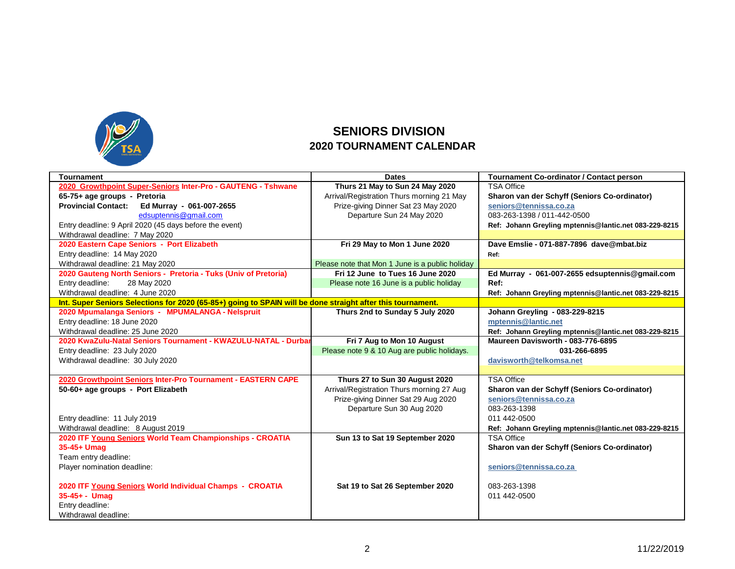

## **SENIORS DIVISION 2020 TOURNAMENT CALENDAR**

| <b>Tournament</b>                                                                                           | <b>Dates</b>                                    | <b>Tournament Co-ordinator / Contact person</b>       |
|-------------------------------------------------------------------------------------------------------------|-------------------------------------------------|-------------------------------------------------------|
| 2020 Growthpoint Super-Seniors Inter-Pro - GAUTENG - Tshwane                                                | Thurs 21 May to Sun 24 May 2020                 | <b>TSA Office</b>                                     |
| 65-75+ age groups - Pretoria                                                                                | Arrival/Registration Thurs morning 21 May       | Sharon van der Schyff (Seniors Co-ordinator)          |
| <b>Provincial Contact:</b><br>Ed Murray - 061-007-2655                                                      | Prize-giving Dinner Sat 23 May 2020             | seniors@tennissa.co.za                                |
| edsuptennis@gmail.com                                                                                       | Departure Sun 24 May 2020                       | 083-263-1398 / 011-442-0500                           |
| Entry deadline: 9 April 2020 (45 days before the event)                                                     |                                                 | Ref: Johann Greyling mptennis@lantic.net 083-229-8215 |
| Withdrawal deadline: 7 May 2020                                                                             |                                                 |                                                       |
| 2020 Eastern Cape Seniors - Port Elizabeth                                                                  | Fri 29 May to Mon 1 June 2020                   | Dave Emslie - 071-887-7896 dave@mbat.biz              |
| Entry deadline: 14 May 2020                                                                                 |                                                 | Ref:                                                  |
| Withdrawal deadline: 21 May 2020                                                                            | Please note that Mon 1 June is a public holiday |                                                       |
| 2020 Gauteng North Seniors - Pretoria - Tuks (Univ of Pretoria)                                             | Fri 12 June to Tues 16 June 2020                | Ed Murray - 061-007-2655 edsuptennis@gmail.com        |
| Entry deadline:<br>28 May 2020                                                                              | Please note 16 June is a public holiday         | Ref:                                                  |
| Withdrawal deadline: 4 June 2020                                                                            |                                                 | Ref: Johann Greyling mptennis@lantic.net 083-229-8215 |
| Int. Super Seniors Selections for 2020 (65-85+) going to SPAIN will be done straight after this tournament. |                                                 |                                                       |
| 2020 Mpumalanga Seniors - MPUMALANGA - Nelspruit                                                            | Thurs 2nd to Sunday 5 July 2020                 | Johann Greyling - 083-229-8215                        |
| Entry deadline: 18 June 2020                                                                                |                                                 | mptennis@lantic.net                                   |
| Withdrawal deadline: 25 June 2020                                                                           |                                                 | Ref: Johann Greyling mptennis@lantic.net 083-229-8215 |
| 2020 KwaZulu-Natal Seniors Tournament - KWAZULU-NATAL - Durbar                                              | Fri 7 Aug to Mon 10 August                      | Maureen Davisworth - 083-776-6895                     |
| Entry deadline: 23 July 2020                                                                                | Please note 9 & 10 Aug are public holidays.     | 031-266-6895                                          |
| Withdrawal deadline: 30 July 2020                                                                           |                                                 | davisworth@telkomsa.net                               |
|                                                                                                             |                                                 |                                                       |
| 2020 Growthpoint Seniors Inter-Pro Tournament - EASTERN CAPE                                                | Thurs 27 to Sun 30 August 2020                  | <b>TSA Office</b>                                     |
| 50-60+ age groups - Port Elizabeth                                                                          | Arrival/Registration Thurs morning 27 Aug       | Sharon van der Schyff (Seniors Co-ordinator)          |
|                                                                                                             | Prize-giving Dinner Sat 29 Aug 2020             | seniors@tennissa.co.za                                |
|                                                                                                             | Departure Sun 30 Aug 2020                       | 083-263-1398                                          |
| Entry deadline: 11 July 2019                                                                                |                                                 | 011 442-0500                                          |
| Withdrawal deadline: 8 August 2019                                                                          |                                                 | Ref: Johann Greyling mptennis@lantic.net 083-229-8215 |
| 2020 ITF Young Seniors World Team Championships - CROATIA                                                   | Sun 13 to Sat 19 September 2020                 | <b>TSA Office</b>                                     |
| $35-45+$ Umaq                                                                                               |                                                 | Sharon van der Schyff (Seniors Co-ordinator)          |
| Team entry deadline:                                                                                        |                                                 |                                                       |
| Player nomination deadline:                                                                                 |                                                 | seniors@tennissa.co.za                                |
|                                                                                                             |                                                 |                                                       |
| 2020 ITF Young Seniors World Individual Champs - CROATIA                                                    | Sat 19 to Sat 26 September 2020                 | 083-263-1398                                          |
| $35 - 45 + -$ Umag                                                                                          |                                                 | 011 442-0500                                          |
| Entry deadline:                                                                                             |                                                 |                                                       |
| Withdrawal deadline:                                                                                        |                                                 |                                                       |